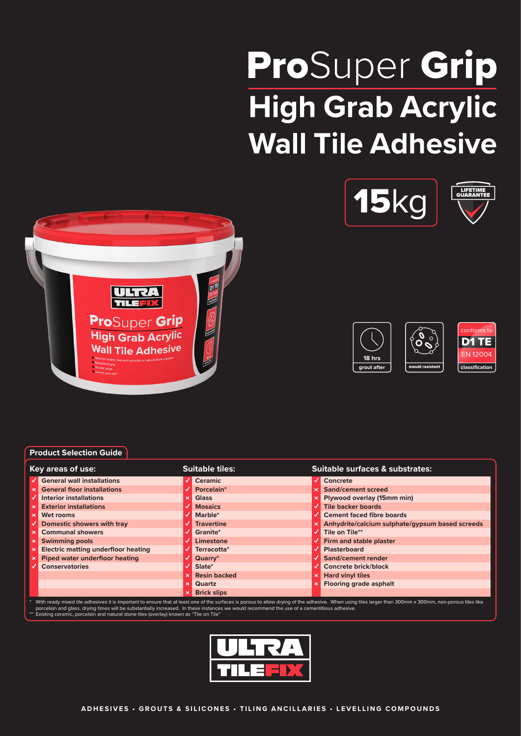# ProSuper Grip **High Grab Acrylic Wall Tile Adhesive**











# **Product Selection Guide**

| Key areas of use: |                                                                                                                                                                                                                                                                                                                                                         | <b>Suitable tiles:</b> |                     | Suitable surfaces & substrates: |                                                 |  |  |
|-------------------|---------------------------------------------------------------------------------------------------------------------------------------------------------------------------------------------------------------------------------------------------------------------------------------------------------------------------------------------------------|------------------------|---------------------|---------------------------------|-------------------------------------------------|--|--|
|                   | <b>General wall installations</b>                                                                                                                                                                                                                                                                                                                       |                        | Ceramic             |                                 | Concrete                                        |  |  |
| $\times$ 1        | <b>General floor installations</b>                                                                                                                                                                                                                                                                                                                      |                        | Porcelain*          |                                 | Sand/cement screed                              |  |  |
|                   | <b>Interior installations</b>                                                                                                                                                                                                                                                                                                                           | $\mathbf x$            | <b>Glass</b>        |                                 | Plywood overlay (15mm min)                      |  |  |
|                   | <b>Exterior installations</b>                                                                                                                                                                                                                                                                                                                           |                        | <b>Mosaics</b>      |                                 | <b>Tile backer boards</b>                       |  |  |
| $\mathbf x$       | Wet rooms                                                                                                                                                                                                                                                                                                                                               |                        | Marble*             |                                 | <b>Cement faced fibre boards</b>                |  |  |
|                   | Domestic showers with tray                                                                                                                                                                                                                                                                                                                              |                        | <b>Travertine</b>   |                                 | Anhydrite/calcium sulphate/gypsum based screeds |  |  |
|                   | <b>Communal showers</b>                                                                                                                                                                                                                                                                                                                                 |                        | Granite*            |                                 | Tile on Tile**                                  |  |  |
|                   | <b>Swimming pools</b>                                                                                                                                                                                                                                                                                                                                   |                        | Limestone           |                                 | Firm and stable plaster                         |  |  |
|                   | <b>Electric matting underfloor heating</b>                                                                                                                                                                                                                                                                                                              |                        | Terracotta*         |                                 | <b>Plasterboard</b>                             |  |  |
|                   | <b>Piped water underfloor heating</b>                                                                                                                                                                                                                                                                                                                   |                        | Quarry*             |                                 | Sand/cement render                              |  |  |
|                   | <b>Conservatories</b>                                                                                                                                                                                                                                                                                                                                   |                        | Slate*              |                                 | <b>Concrete brick/block</b>                     |  |  |
|                   |                                                                                                                                                                                                                                                                                                                                                         |                        | <b>Resin backed</b> |                                 | <b>Hard vinyl tiles</b>                         |  |  |
|                   |                                                                                                                                                                                                                                                                                                                                                         | $\boldsymbol{\times}$  | <b>Quartz</b>       |                                 | <b>Flooring grade asphalt</b>                   |  |  |
|                   |                                                                                                                                                                                                                                                                                                                                                         |                        | <b>Brick slips</b>  |                                 |                                                 |  |  |
|                   | With ready mixed tile adhesives it is important to ensure that at least one of the surfaces is porous to allow drying of the adhesive. When using tiles larger than 300mm x 300mm, non-porous tiles like<br>porcelain and glace, druing times will be substantially increased. In these instances we would recommend the use of a comentitious adhesive |                        |                     |                                 |                                                 |  |  |

porcelain and glass, drying times will be substantially increased. In these instances we would recommend the use of a cementitious adhesive.<br>\*\* Existing ceramic, porcelain and natural stone tiles (overlay) known as "Tile